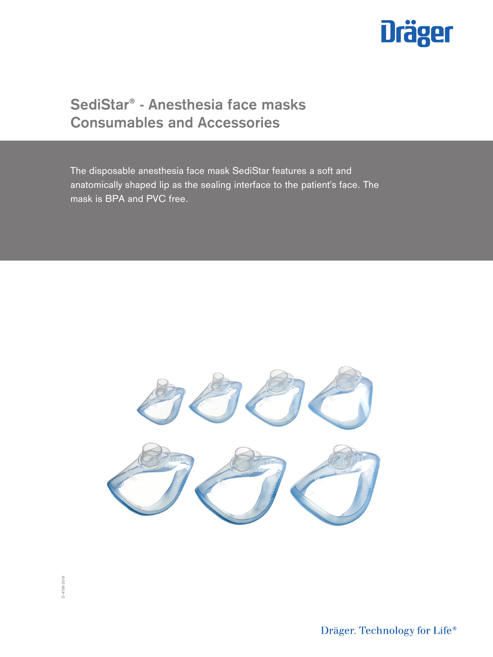

# **SediStar® - Anesthesia face masks Consumables and Accessories**

The disposable anesthesia face mask SediStar features a soft and anatomically shaped lip as the sealing interface to the patient's face. The mask is BPA and PVC free.



Dräger. Technology for Life®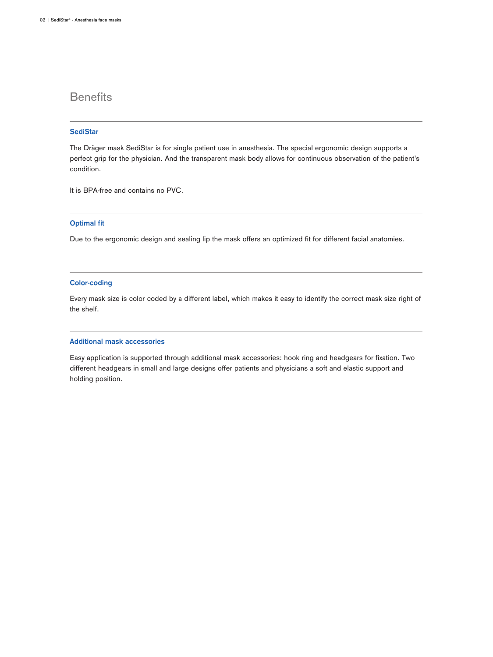# **Benefits**

# **SediStar**

The Dräger mask SediStar is for single patient use in anesthesia. The special ergonomic design supports a perfect grip for the physician. And the transparent mask body allows for continuous observation of the patient's condition.

It is BPA-free and contains no PVC.

# **Optimal fit**

Due to the ergonomic design and sealing lip the mask offers an optimized fit for different facial anatomies.

## **Color-coding**

Every mask size is color coded by a different label, which makes it easy to identify the correct mask size right of the shelf.

### **Additional mask accessories**

Easy application is supported through additional mask accessories: hook ring and headgears for fixation. Two different headgears in small and large designs offer patients and physicians a soft and elastic support and holding position.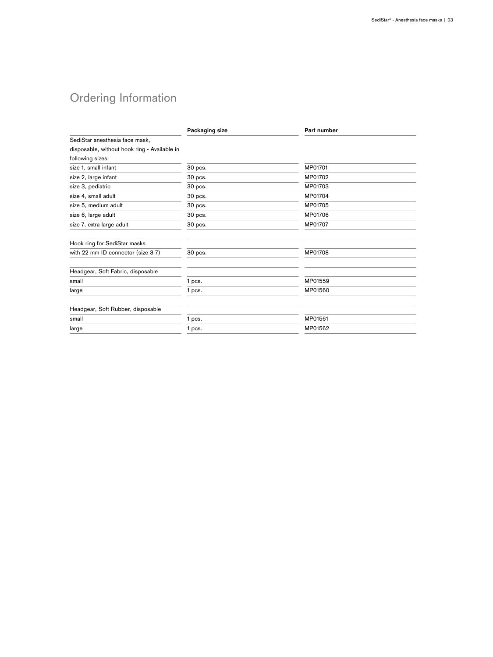# Ordering Information

|                                              | Packaging size | Part number |
|----------------------------------------------|----------------|-------------|
| SediStar anesthesia face mask,               |                |             |
| disposable, without hook ring - Available in |                |             |
| following sizes:                             |                |             |
| size 1, small infant                         | 30 pcs.        | MP01701     |
| size 2, large infant                         | 30 pcs.        | MP01702     |
| size 3, pediatric                            | 30 pcs.        | MP01703     |
| size 4, small adult                          | 30 pcs.        | MP01704     |
| size 5, medium adult                         | 30 pcs.        | MP01705     |
| size 6, large adult                          | 30 pcs.        | MP01706     |
| size 7, extra large adult                    | 30 pcs.        | MP01707     |
| Hook ring for SediStar masks                 |                |             |
| with 22 mm ID connector (size 3-7)           | 30 pcs.        | MP01708     |
| Headgear, Soft Fabric, disposable            |                |             |
| small                                        | 1 pcs.         | MP01559     |
| large                                        | 1 pcs.         | MP01560     |
| Headgear, Soft Rubber, disposable            |                |             |
| small                                        | 1 pcs.         | MP01561     |
| large                                        | 1 pcs.         | MP01562     |